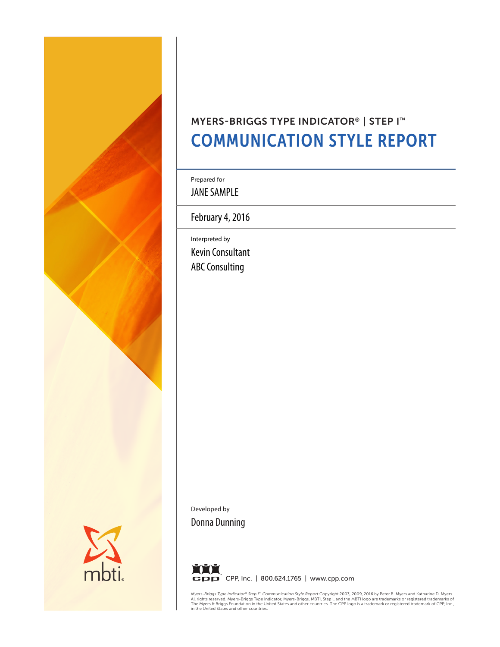

# MYERS-BRIGGS TYPE INDICATOR® | STEP I™ COMMUNICATION STYLE REPORT

Prepared for

JANE SAMPLE

February 4, 2016

Interpreted by Kevin Consultant ABC Consulting

Developed by Donna Dunning



*Myers-Briggs Type Indicator® Step I™ Communication Style Report Copyright 2003, 2009, 2016 by Peter B. Myers and Katharine D. Myers.<br>All rights reserved. Myers-Briggs Type Indicator, Myers-Briggs, MBTI, Step I, and the MB*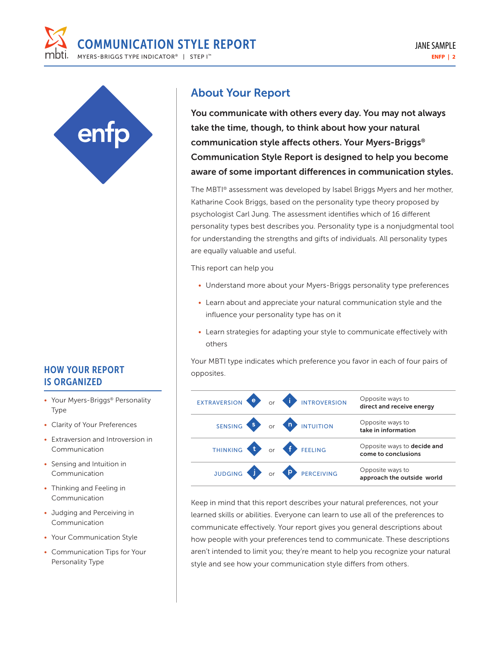



## HOW YOUR REPORT proposition IS ORGANIZED

- Your Myers-Briggs® Personality Type
- Clarity of Your Preferences
- Extraversion and Introversion in Communication
- Sensing and Intuition in Communication
- Thinking and Feeling in Communication
- Judging and Perceiving in Communication
- Your Communication Style
- Communication Tips for Your Personality Type

## About Your Report

You communicate with others every day. You may not always take the time, though, to think about how your natural communication style affects others. Your Myers-Briggs® Communication Style Report is designed to help you become aware of some important differences in communication styles.

The MBTI® assessment was developed by Isabel Briggs Myers and her mother, Katharine Cook Briggs, based on the personality type theory proposed by psychologist Carl Jung. The assessment identifies which of 16 different personality types best describes you. Personality type is a nonjudgmental tool for understanding the strengths and gifts of individuals. All personality types are equally valuable and useful.

This report can help you

- Understand more about your Myers-Briggs personality type preferences
- Learn about and appreciate your natural communication style and the influence your personality type has on it
- Learn strategies for adapting your style to communicate effectively with others

Your MBTI type indicates which preference you favor in each of four pairs of

|  | EXTRAVERSION <b>e</b> or <b>i</b> INTROVERSION | Opposite ways to<br>direct and receive energy             |
|--|------------------------------------------------|-----------------------------------------------------------|
|  | SENSING S OF A INTUITION                       | Opposite ways to<br>take in information                   |
|  | THINKING to or f FEELING                       | Opposite ways to <b>decide and</b><br>come to conclusions |
|  | JUDGING TO OF PERCEIVING                       | Opposite ways to<br>approach the outside world            |

Keep in mind that this report describes your natural preferences, not your learned skills or abilities. Everyone can learn to use all of the preferences to communicate effectively. Your report gives you general descriptions about how people with your preferences tend to communicate. These descriptions aren't intended to limit you; they're meant to help you recognize your natural style and see how your communication style differs from others.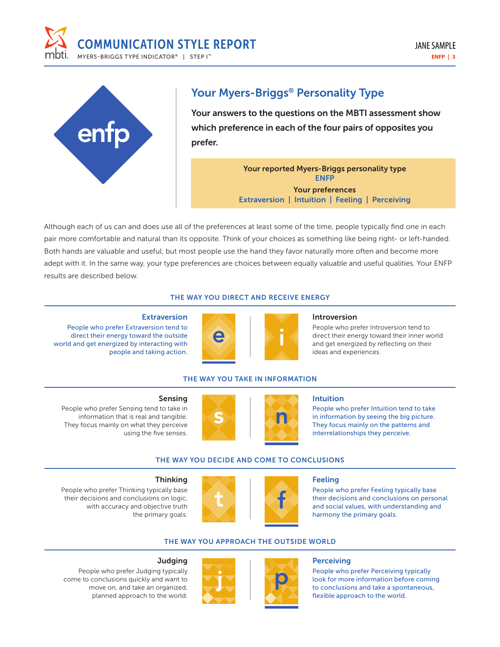



## Your Myers-Briggs® Personality Type

Your answers to the questions on the MBTI assessment show which preference in each of the four pairs of opposites you prefer.

> Your reported Myers-Briggs personality type ENFP Your preferences Extraversion | Intuition | Feeling | Perceiving

Although each of us can and does use all of the preferences at least some of the time, people typically find one in each pair more comfortable and natural than its opposite. Think of your choices as something like being right- or left-handed. Both hands are valuable and useful, but most people use the hand they favor naturally more often and become more adept with it. In the same way, your type preferences are choices between equally valuable and useful qualities. Your ENFP results are described below.

### THE WAY YOU DIRECT AND RECEIVE ENERGY

#### **Extraversion**

People who prefer Extraversion tend to direct their energy toward the outside world and get energized by interacting with people and taking action.



#### Introversion

People who prefer Introversion tend to direct their energy toward their inner world and get energized by reflecting on their ideas and experiences.

### THE WAY YOU TAKE IN INFORMATION

#### Sensing

People who prefer Sensing tend to take in information that is real and tangible. They focus mainly on what they perceive using the five senses.





#### Intuition

People who prefer Intuition tend to take in information by seeing the big picture. They focus mainly on the patterns and interrelationships they perceive.

### THE WAY YOU DECIDE AND COME TO CONCLUSIONS

### **Thinking**

People who prefer Thinking typically base their decisions and conclusions on logic, with accuracy and objective truth the primary goals.



#### Feeling

People who prefer Feeling typically base their decisions and conclusions on personal and social values, with understanding and harmony the primary goals.

### THE WAY YOU APPROACH THE OUTSIDE WORLD

#### **Judging**





#### **Perceiving**

People who prefer Perceiving typically look for more information before coming to conclusions and take a spontaneous, flexible approach to the world.

People who prefer Judging typically come to conclusions quickly and want to move on, and take an organized, planned approach to the world.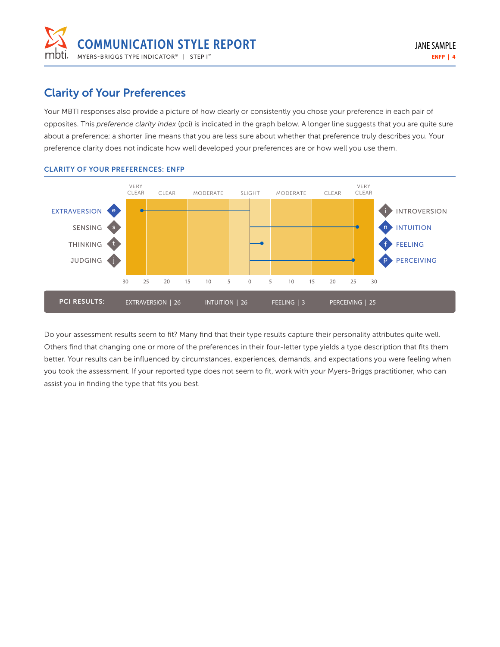

## Clarity of Your Preferences

Your MBTI responses also provide a picture of how clearly or consistently you chose your preference in each pair of opposites. This *preference clarity index* (pci) is indicated in the graph below. A longer line suggests that you are quite sure about a preference; a shorter line means that you are less sure about whether that preference truly describes you. Your preference clarity does not indicate how well developed your preferences are or how well you use them.



### CLARITY OF YOUR PREFERENCES: ENFP

Do your assessment results seem to fit? Many find that their type results capture their personality attributes quite well. Others find that changing one or more of the preferences in their four-letter type yields a type description that fits them better. Your results can be influenced by circumstances, experiences, demands, and expectations you were feeling when you took the assessment. If your reported type does not seem to fit, work with your Myers-Briggs practitioner, who can assist you in finding the type that fits you best.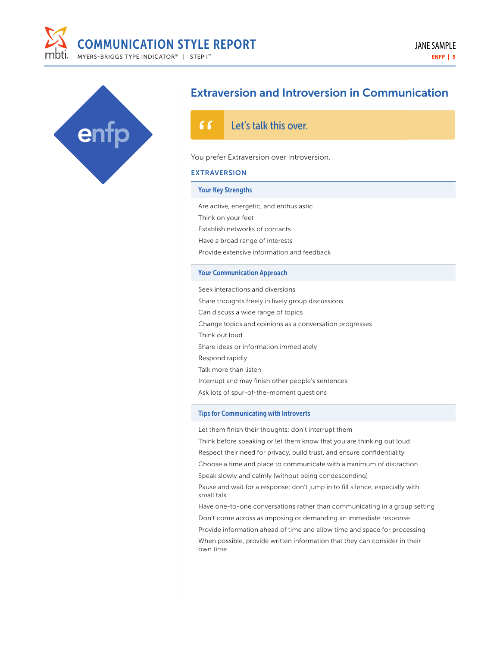



## Extraversion and Introversion in Communication

#### ና ና Let's talk this over.

#### You prefer Extraversion over Introversion.

#### EXTRAVERSION

#### Your Key Strengths

Are active, energetic, and enthusiastic Think on your feet Establish networks of contacts Have a broad range of interests Provide extensive information and feedback

### Your Communication Approach

Seek interactions and diversions Share thoughts freely in lively group discussions Can discuss a wide range of topics Change topics and opinions as a conversation progresses Think out loud Share ideas or information immediately Respond rapidly Talk more than listen Interrupt and may finish other people's sentences Ask lots of spur-of-the-moment questions

#### Tips for Communicating with Introverts

Let them finish their thoughts; don't interrupt them

Think before speaking or let them know that you are thinking out loud Respect their need for privacy, build trust, and ensure confidentiality Choose a time and place to communicate with a minimum of distraction

Speak slowly and calmly (without being condescending)

Pause and wait for a response; don't jump in to fill silence, especially with small talk

Have one-to-one conversations rather than communicating in a group setting Don't come across as imposing or demanding an immediate response Provide information ahead of time and allow time and space for processing When possible, provide written information that they can consider in their

own time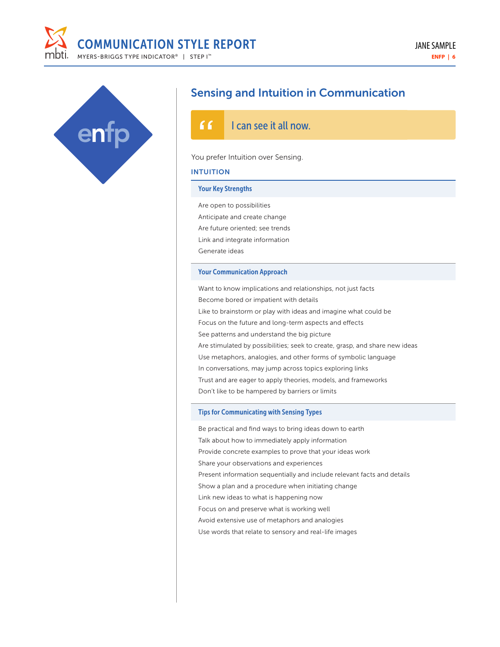



## Sensing and Intuition in Communication

#### ና ና I can see it all now.

#### You prefer Intuition over Sensing.

#### INTUITION

#### Your Key Strengths

Are open to possibilities Anticipate and create change Are future oriented; see trends Link and integrate information Generate ideas

#### Your Communication Approach

Want to know implications and relationships, not just facts Become bored or impatient with details Like to brainstorm or play with ideas and imagine what could be Focus on the future and long-term aspects and effects See patterns and understand the big picture Are stimulated by possibilities; seek to create, grasp, and share new ideas Use metaphors, analogies, and other forms of symbolic language In conversations, may jump across topics exploring links Trust and are eager to apply theories, models, and frameworks Don't like to be hampered by barriers or limits

#### Tips for Communicating with Sensing Types

Be practical and find ways to bring ideas down to earth Talk about how to immediately apply information Provide concrete examples to prove that your ideas work Share your observations and experiences Present information sequentially and include relevant facts and details Show a plan and a procedure when initiating change Link new ideas to what is happening now Focus on and preserve what is working well Avoid extensive use of metaphors and analogies

Use words that relate to sensory and real-life images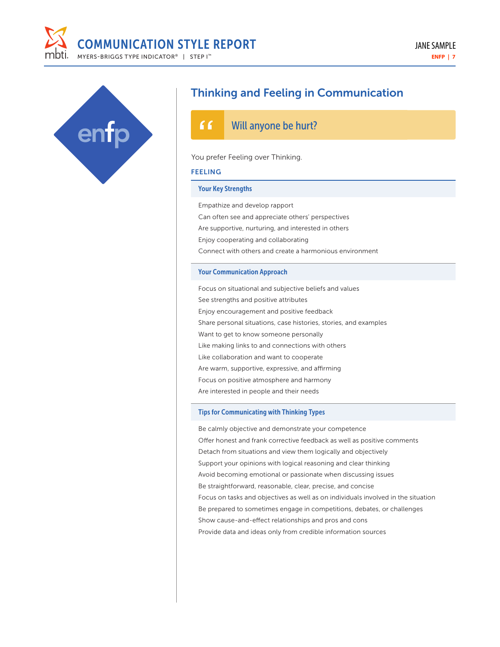



## Thinking and Feeling in Communication

#### ና ና Will anyone be hurt?

#### You prefer Feeling over Thinking.

#### FEELING

#### Your Key Strengths

Empathize and develop rapport

Can often see and appreciate others' perspectives Are supportive, nurturing, and interested in others Enjoy cooperating and collaborating Connect with others and create a harmonious environment

#### Your Communication Approach

Focus on situational and subjective beliefs and values See strengths and positive attributes Enjoy encouragement and positive feedback Share personal situations, case histories, stories, and examples Want to get to know someone personally Like making links to and connections with others Like collaboration and want to cooperate Are warm, supportive, expressive, and affirming Focus on positive atmosphere and harmony Are interested in people and their needs

#### Tips for Communicating with Thinking Types

Be calmly objective and demonstrate your competence Offer honest and frank corrective feedback as well as positive comments Detach from situations and view them logically and objectively Support your opinions with logical reasoning and clear thinking Avoid becoming emotional or passionate when discussing issues Be straightforward, reasonable, clear, precise, and concise Focus on tasks and objectives as well as on individuals involved in the situation Be prepared to sometimes engage in competitions, debates, or challenges Show cause-and-effect relationships and pros and cons Provide data and ideas only from credible information sources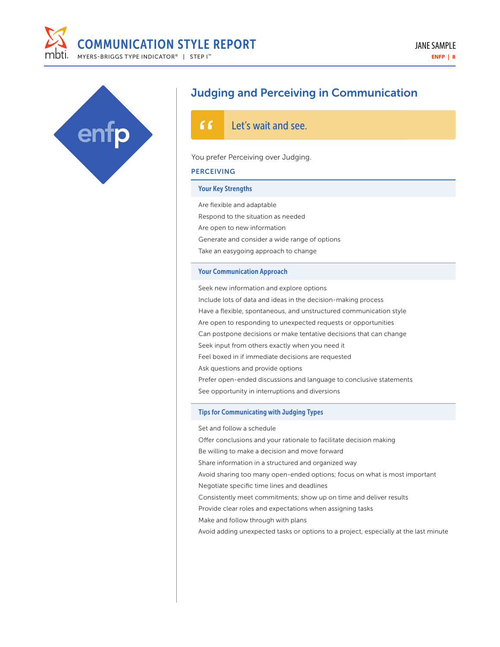



## Judging and Perceiving in Communication

#### Let's wait and see.

#### You prefer Perceiving over Judging.

### **PERCEIVING**

### Your Key Strengths

Are flexible and adaptable Respond to the situation as needed Are open to new information Generate and consider a wide range of options Take an easygoing approach to change

#### Your Communication Approach

Seek new information and explore options Include lots of data and ideas in the decision-making process Have a flexible, spontaneous, and unstructured communication style Are open to responding to unexpected requests or opportunities Can postpone decisions or make tentative decisions that can change Seek input from others exactly when you need it Feel boxed in if immediate decisions are requested Ask questions and provide options Prefer open-ended discussions and language to conclusive statements See opportunity in interruptions and diversions

#### Tips for Communicating with Judging Types

Set and follow a schedule

Offer conclusions and your rationale to facilitate decision making Be willing to make a decision and move forward Share information in a structured and organized way Avoid sharing too many open-ended options; focus on what is most important Negotiate specific time lines and deadlines Consistently meet commitments; show up on time and deliver results Provide clear roles and expectations when assigning tasks Make and follow through with plans Avoid adding unexpected tasks or options to a project, especially at the last minute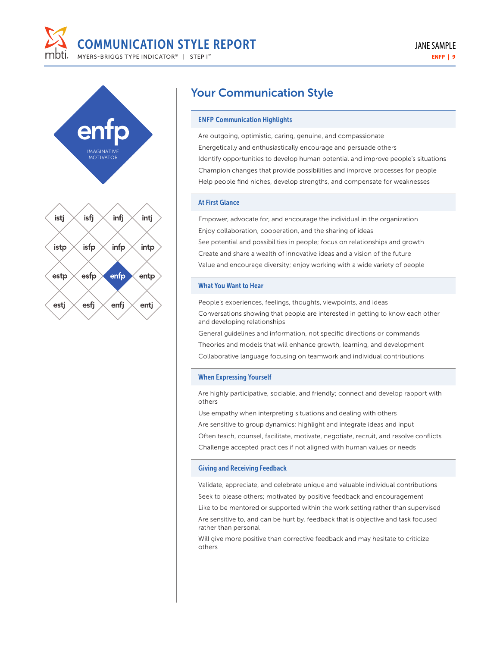



## Your Communication Style

#### ENFP Communication Highlights

Are outgoing, optimistic, caring, genuine, and compassionate Energetically and enthusiastically encourage and persuade others Identify opportunities to develop human potential and improve people's situations Champion changes that provide possibilities and improve processes for people Help people find niches, develop strengths, and compensate for weaknesses

#### At First Glance

Empower, advocate for, and encourage the individual in the organization Enjoy collaboration, cooperation, and the sharing of ideas See potential and possibilities in people; focus on relationships and growth Create and share a wealth of innovative ideas and a vision of the future Value and encourage diversity; enjoy working with a wide variety of people

#### What You Want to Hear

People's experiences, feelings, thoughts, viewpoints, and ideas Conversations showing that people are interested in getting to know each other and developing relationships

General guidelines and information, not specific directions or commands Theories and models that will enhance growth, learning, and development Collaborative language focusing on teamwork and individual contributions

#### When Expressing Yourself

Are highly participative, sociable, and friendly; connect and develop rapport with others

Use empathy when interpreting situations and dealing with others Are sensitive to group dynamics; highlight and integrate ideas and input Often teach, counsel, facilitate, motivate, negotiate, recruit, and resolve conflicts Challenge accepted practices if not aligned with human values or needs

#### Giving and Receiving Feedback

Validate, appreciate, and celebrate unique and valuable individual contributions Seek to please others; motivated by positive feedback and encouragement

Like to be mentored or supported within the work setting rather than supervised Are sensitive to, and can be hurt by, feedback that is objective and task focused rather than personal

Will give more positive than corrective feedback and may hesitate to criticize others